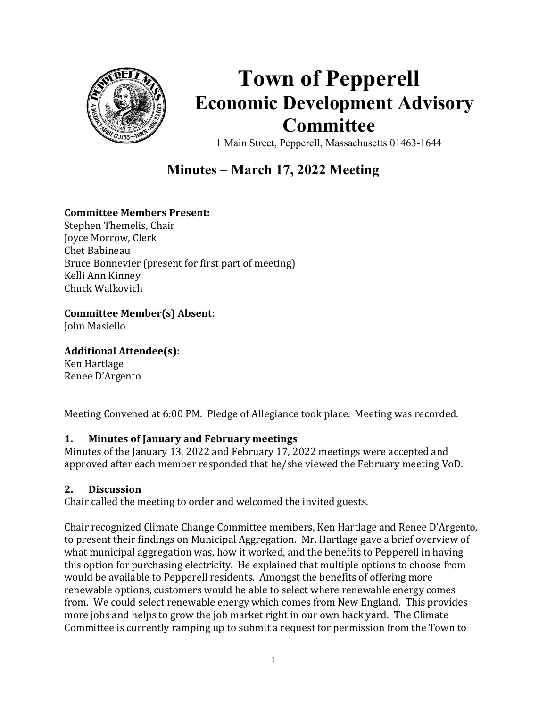

# Town of Pepperell Economic Development Advisory Committee

1 Main Street, Pepperell, Massachusetts 01463-1644

# Minutes – March 17, 2022 Meeting

## Committee Members Present:

Stephen Themelis, Chair Joyce Morrow, Clerk Chet Babineau Bruce Bonnevier (present for first part of meeting) Kelli Ann Kinney Chuck Walkovich

Committee Member(s) Absent:

John Masiello

Additional Attendee(s):

Ken Hartlage Renee D'Argento

Meeting Convened at 6:00 PM. Pledge of Allegiance took place. Meeting was recorded.

## 1. Minutes of January and February meetings

Minutes of the January 13, 2022 and February 17, 2022 meetings were accepted and approved after each member responded that he/she viewed the February meeting VoD.

## 2. Discussion

Chair called the meeting to order and welcomed the invited guests.

Chair recognized Climate Change Committee members, Ken Hartlage and Renee D'Argento, to present their findings on Municipal Aggregation. Mr. Hartlage gave a brief overview of what municipal aggregation was, how it worked, and the benefits to Pepperell in having this option for purchasing electricity. He explained that multiple options to choose from would be available to Pepperell residents. Amongst the benefits of offering more renewable options, customers would be able to select where renewable energy comes from. We could select renewable energy which comes from New England. This provides more jobs and helps to grow the job market right in our own back yard. The Climate Committee is currently ramping up to submit a request for permission from the Town to